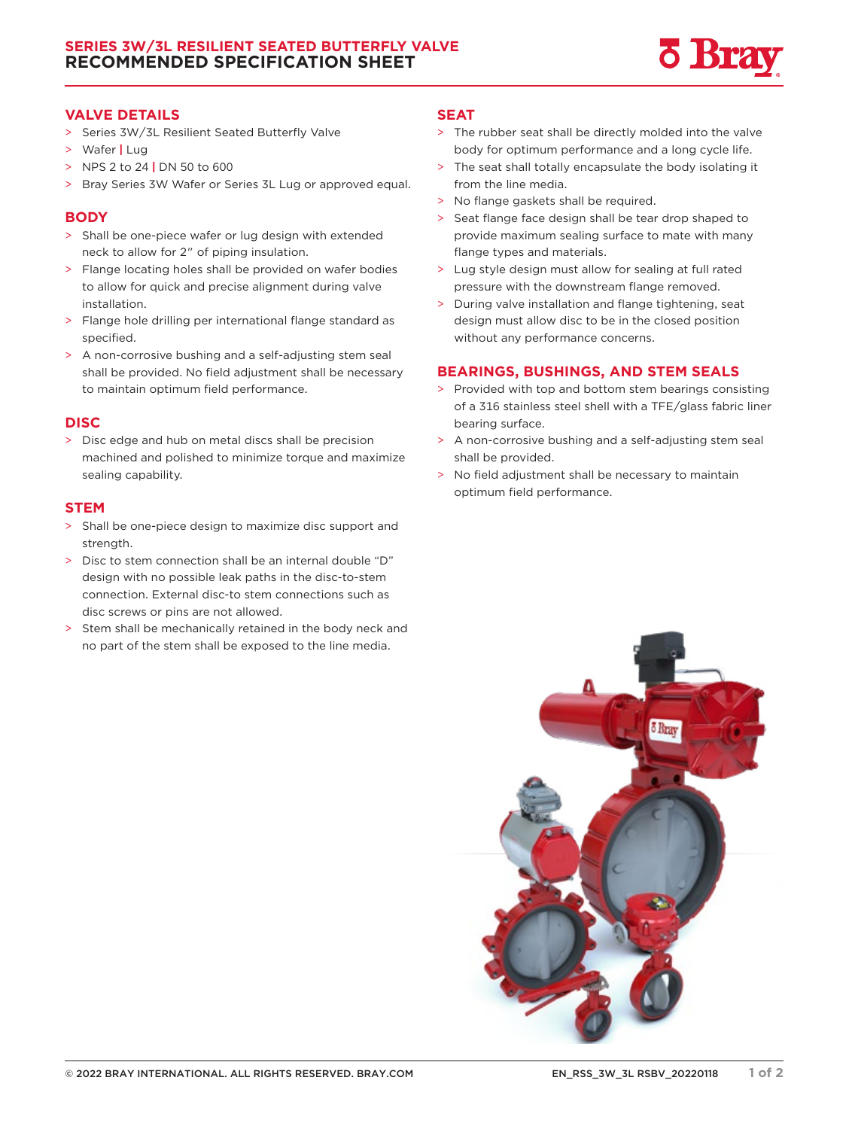

## **VALVE DETAILS**

- > Series 3W/3L Resilient Seated Butterfly Valve
- > Wafer **|** Lug
- > NPS 2 to 24 **|** DN 50 to 600
- > Bray Series 3W Wafer or Series 3L Lug or approved equal.

#### **BODY**

- > Shall be one-piece wafer or lug design with extended neck to allow for 2" of piping insulation.
- > Flange locating holes shall be provided on wafer bodies to allow for quick and precise alignment during valve installation.
- > Flange hole drilling per international flange standard as specified.
- > A non-corrosive bushing and a self-adjusting stem seal shall be provided. No field adjustment shall be necessary to maintain optimum field performance.

## **DISC**

> Disc edge and hub on metal discs shall be precision machined and polished to minimize torque and maximize sealing capability.

## **STEM**

- > Shall be one-piece design to maximize disc support and strength.
- > Disc to stem connection shall be an internal double "D" design with no possible leak paths in the disc-to-stem connection. External disc-to stem connections such as disc screws or pins are not allowed.
- > Stem shall be mechanically retained in the body neck and no part of the stem shall be exposed to the line media.

#### **SEAT**

- > The rubber seat shall be directly molded into the valve body for optimum performance and a long cycle life.
- > The seat shall totally encapsulate the body isolating it from the line media.
- > No flange gaskets shall be required.
- > Seat flange face design shall be tear drop shaped to provide maximum sealing surface to mate with many flange types and materials.
- > Lug style design must allow for sealing at full rated pressure with the downstream flange removed.
- > During valve installation and flange tightening, seat design must allow disc to be in the closed position without any performance concerns.

## **BEARINGS, BUSHINGS, AND STEM SEALS**

- > Provided with top and bottom stem bearings consisting of a 316 stainless steel shell with a TFE/glass fabric liner bearing surface.
- > A non-corrosive bushing and a self-adjusting stem seal shall be provided.
- > No field adjustment shall be necessary to maintain optimum field performance.